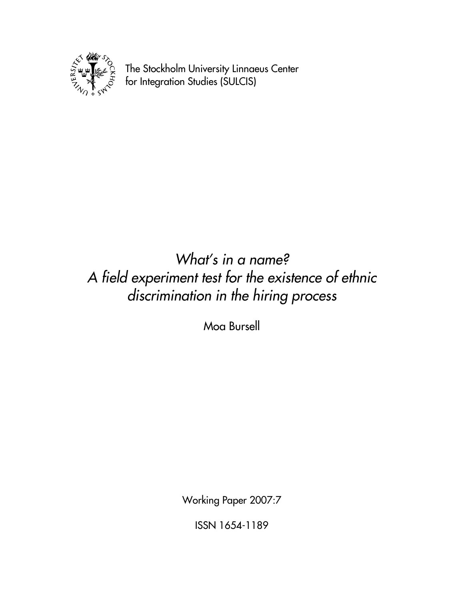

The Stockholm University Linnaeus Center for Integration Studies (SULCIS)

# What's in a name? A field experiment test for the existence of ethnic discrimination in the hiring process

Moa Bursell

Working Paper 2007:7

ISSN 1654-1189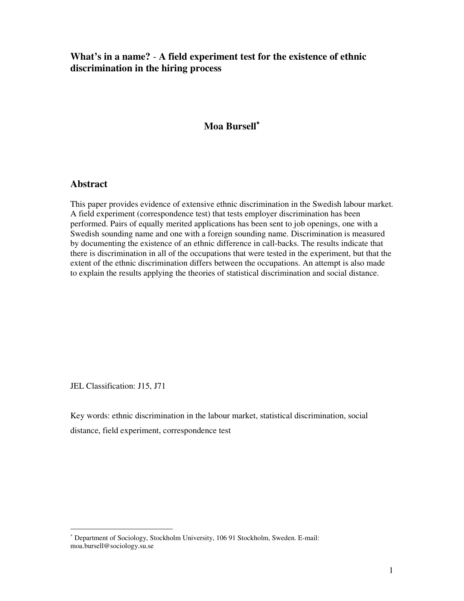# **What's in a name?** - **A field experiment test for the existence of ethnic discrimination in the hiring process**

## **Moa Bursell**<sup>∗</sup>

### **Abstract**

This paper provides evidence of extensive ethnic discrimination in the Swedish labour market. A field experiment (correspondence test) that tests employer discrimination has been performed. Pairs of equally merited applications has been sent to job openings, one with a Swedish sounding name and one with a foreign sounding name. Discrimination is measured by documenting the existence of an ethnic difference in call-backs. The results indicate that there is discrimination in all of the occupations that were tested in the experiment, but that the extent of the ethnic discrimination differs between the occupations. An attempt is also made to explain the results applying the theories of statistical discrimination and social distance.

JEL Classification: J15, J71

-

Key words: ethnic discrimination in the labour market, statistical discrimination, social distance, field experiment, correspondence test

<sup>∗</sup> Department of Sociology, Stockholm University, 106 91 Stockholm, Sweden. E-mail: moa.bursell@sociology.su.se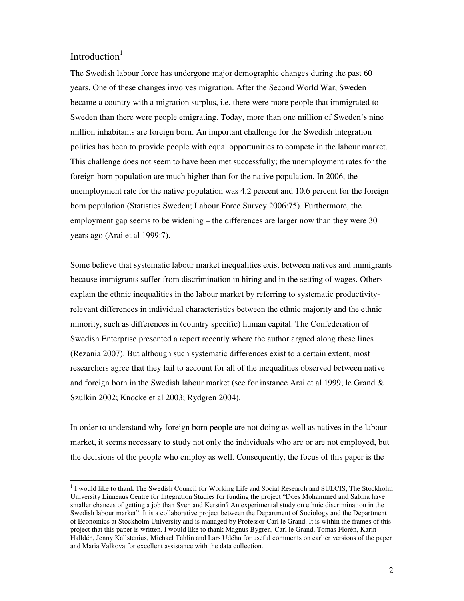### Introduction $1$

-

The Swedish labour force has undergone major demographic changes during the past 60 years. One of these changes involves migration. After the Second World War, Sweden became a country with a migration surplus, i.e. there were more people that immigrated to Sweden than there were people emigrating. Today, more than one million of Sweden's nine million inhabitants are foreign born. An important challenge for the Swedish integration politics has been to provide people with equal opportunities to compete in the labour market. This challenge does not seem to have been met successfully; the unemployment rates for the foreign born population are much higher than for the native population. In 2006, the unemployment rate for the native population was 4.2 percent and 10.6 percent for the foreign born population (Statistics Sweden; Labour Force Survey 2006:75). Furthermore, the employment gap seems to be widening – the differences are larger now than they were 30 years ago (Arai et al 1999:7).

Some believe that systematic labour market inequalities exist between natives and immigrants because immigrants suffer from discrimination in hiring and in the setting of wages. Others explain the ethnic inequalities in the labour market by referring to systematic productivityrelevant differences in individual characteristics between the ethnic majority and the ethnic minority, such as differences in (country specific) human capital. The Confederation of Swedish Enterprise presented a report recently where the author argued along these lines (Rezania 2007). But although such systematic differences exist to a certain extent, most researchers agree that they fail to account for all of the inequalities observed between native and foreign born in the Swedish labour market (see for instance Arai et al 1999; le Grand & Szulkin 2002; Knocke et al 2003; Rydgren 2004).

In order to understand why foreign born people are not doing as well as natives in the labour market, it seems necessary to study not only the individuals who are or are not employed, but the decisions of the people who employ as well. Consequently, the focus of this paper is the

<sup>&</sup>lt;sup>1</sup> I would like to thank The Swedish Council for Working Life and Social Research and SULCIS, The Stockholm University Linneaus Centre for Integration Studies for funding the project "Does Mohammed and Sabina have smaller chances of getting a job than Sven and Kerstin? An experimental study on ethnic discrimination in the Swedish labour market". It is a collaborative project between the Department of Sociology and the Department of Economics at Stockholm University and is managed by Professor Carl le Grand. It is within the frames of this project that this paper is written. I would like to thank Magnus Bygren, Carl le Grand, Tomas Florén, Karin Halldén, Jenny Kallstenius, Michael Tåhlin and Lars Udéhn for useful comments on earlier versions of the paper and Maria Valkova for excellent assistance with the data collection.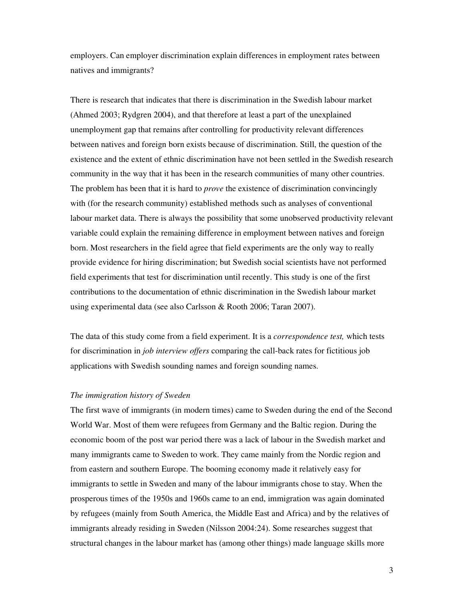employers. Can employer discrimination explain differences in employment rates between natives and immigrants?

There is research that indicates that there is discrimination in the Swedish labour market (Ahmed 2003; Rydgren 2004), and that therefore at least a part of the unexplained unemployment gap that remains after controlling for productivity relevant differences between natives and foreign born exists because of discrimination. Still, the question of the existence and the extent of ethnic discrimination have not been settled in the Swedish research community in the way that it has been in the research communities of many other countries. The problem has been that it is hard to *prove* the existence of discrimination convincingly with (for the research community) established methods such as analyses of conventional labour market data. There is always the possibility that some unobserved productivity relevant variable could explain the remaining difference in employment between natives and foreign born. Most researchers in the field agree that field experiments are the only way to really provide evidence for hiring discrimination; but Swedish social scientists have not performed field experiments that test for discrimination until recently. This study is one of the first contributions to the documentation of ethnic discrimination in the Swedish labour market using experimental data (see also Carlsson & Rooth 2006; Taran 2007).

The data of this study come from a field experiment. It is a *correspondence test,* which tests for discrimination in *job interview offers* comparing the call-back rates for fictitious job applications with Swedish sounding names and foreign sounding names.

#### *The immigration history of Sweden*

The first wave of immigrants (in modern times) came to Sweden during the end of the Second World War. Most of them were refugees from Germany and the Baltic region. During the economic boom of the post war period there was a lack of labour in the Swedish market and many immigrants came to Sweden to work. They came mainly from the Nordic region and from eastern and southern Europe. The booming economy made it relatively easy for immigrants to settle in Sweden and many of the labour immigrants chose to stay. When the prosperous times of the 1950s and 1960s came to an end, immigration was again dominated by refugees (mainly from South America, the Middle East and Africa) and by the relatives of immigrants already residing in Sweden (Nilsson 2004:24). Some researches suggest that structural changes in the labour market has (among other things) made language skills more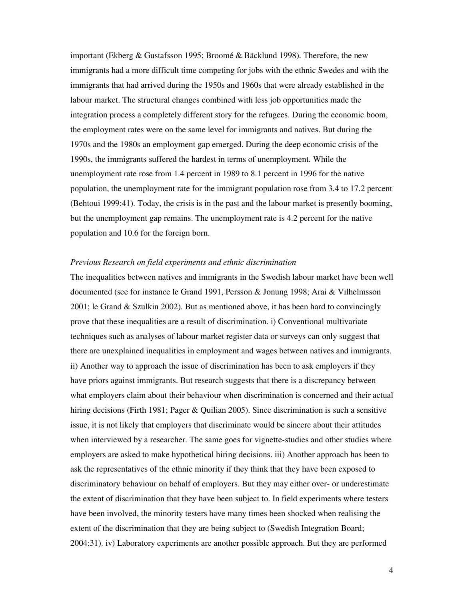important (Ekberg & Gustafsson 1995; Broomé & Bäcklund 1998). Therefore, the new immigrants had a more difficult time competing for jobs with the ethnic Swedes and with the immigrants that had arrived during the 1950s and 1960s that were already established in the labour market. The structural changes combined with less job opportunities made the integration process a completely different story for the refugees. During the economic boom, the employment rates were on the same level for immigrants and natives. But during the 1970s and the 1980s an employment gap emerged. During the deep economic crisis of the 1990s, the immigrants suffered the hardest in terms of unemployment. While the unemployment rate rose from 1.4 percent in 1989 to 8.1 percent in 1996 for the native population, the unemployment rate for the immigrant population rose from 3.4 to 17.2 percent (Behtoui 1999:41). Today, the crisis is in the past and the labour market is presently booming, but the unemployment gap remains. The unemployment rate is 4.2 percent for the native population and 10.6 for the foreign born.

#### *Previous Research on field experiments and ethnic discrimination*

The inequalities between natives and immigrants in the Swedish labour market have been well documented (see for instance le Grand 1991, Persson & Jonung 1998; Arai & Vilhelmsson 2001; le Grand & Szulkin 2002). But as mentioned above, it has been hard to convincingly prove that these inequalities are a result of discrimination. i) Conventional multivariate techniques such as analyses of labour market register data or surveys can only suggest that there are unexplained inequalities in employment and wages between natives and immigrants. ii) Another way to approach the issue of discrimination has been to ask employers if they have priors against immigrants. But research suggests that there is a discrepancy between what employers claim about their behaviour when discrimination is concerned and their actual hiring decisions (Firth 1981; Pager & Quilian 2005). Since discrimination is such a sensitive issue, it is not likely that employers that discriminate would be sincere about their attitudes when interviewed by a researcher. The same goes for vignette-studies and other studies where employers are asked to make hypothetical hiring decisions. iii) Another approach has been to ask the representatives of the ethnic minority if they think that they have been exposed to discriminatory behaviour on behalf of employers. But they may either over- or underestimate the extent of discrimination that they have been subject to. In field experiments where testers have been involved, the minority testers have many times been shocked when realising the extent of the discrimination that they are being subject to (Swedish Integration Board; 2004:31). iv) Laboratory experiments are another possible approach. But they are performed

4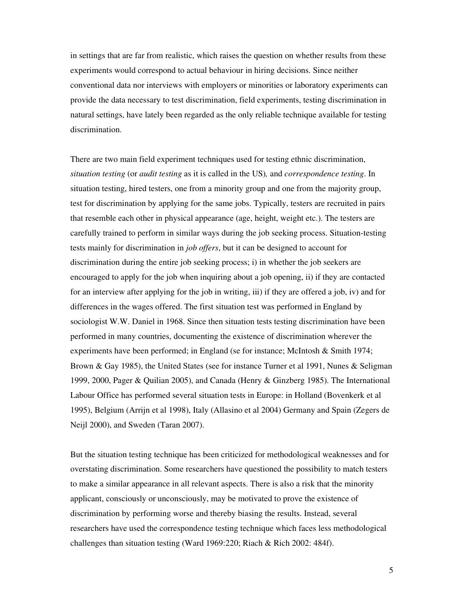in settings that are far from realistic, which raises the question on whether results from these experiments would correspond to actual behaviour in hiring decisions. Since neither conventional data nor interviews with employers or minorities or laboratory experiments can provide the data necessary to test discrimination, field experiments, testing discrimination in natural settings, have lately been regarded as the only reliable technique available for testing discrimination.

There are two main field experiment techniques used for testing ethnic discrimination, *situation testing* (or *audit testing* as it is called in the US)*,* and *correspondence testing*. In situation testing, hired testers, one from a minority group and one from the majority group, test for discrimination by applying for the same jobs. Typically, testers are recruited in pairs that resemble each other in physical appearance (age, height, weight etc.). The testers are carefully trained to perform in similar ways during the job seeking process. Situation-testing tests mainly for discrimination in *job offers*, but it can be designed to account for discrimination during the entire job seeking process; i) in whether the job seekers are encouraged to apply for the job when inquiring about a job opening, ii) if they are contacted for an interview after applying for the job in writing, iii) if they are offered a job, iv) and for differences in the wages offered. The first situation test was performed in England by sociologist W.W. Daniel in 1968. Since then situation tests testing discrimination have been performed in many countries, documenting the existence of discrimination wherever the experiments have been performed; in England (se for instance; McIntosh & Smith 1974; Brown & Gay 1985), the United States (see for instance Turner et al 1991, Nunes & Seligman 1999, 2000, Pager & Quilian 2005), and Canada (Henry & Ginzberg 1985). The International Labour Office has performed several situation tests in Europe: in Holland (Bovenkerk et al 1995), Belgium (Arrijn et al 1998), Italy (Allasino et al 2004) Germany and Spain (Zegers de Neijl 2000), and Sweden (Taran 2007).

But the situation testing technique has been criticized for methodological weaknesses and for overstating discrimination. Some researchers have questioned the possibility to match testers to make a similar appearance in all relevant aspects. There is also a risk that the minority applicant, consciously or unconsciously, may be motivated to prove the existence of discrimination by performing worse and thereby biasing the results. Instead, several researchers have used the correspondence testing technique which faces less methodological challenges than situation testing (Ward 1969:220; Riach & Rich 2002: 484f).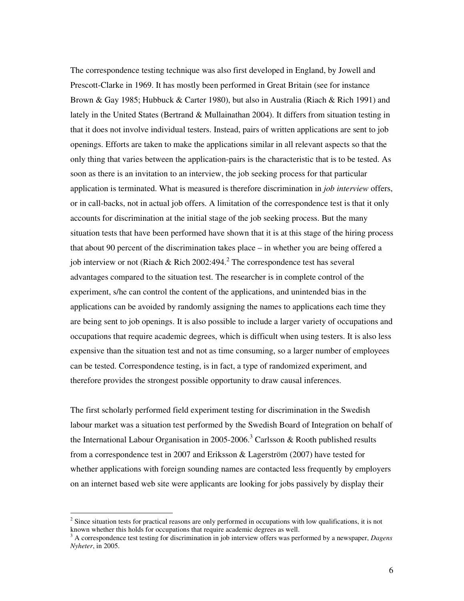The correspondence testing technique was also first developed in England, by Jowell and Prescott-Clarke in 1969. It has mostly been performed in Great Britain (see for instance Brown & Gay 1985; Hubbuck & Carter 1980), but also in Australia (Riach & Rich 1991) and lately in the United States (Bertrand & Mullainathan 2004). It differs from situation testing in that it does not involve individual testers. Instead, pairs of written applications are sent to job openings. Efforts are taken to make the applications similar in all relevant aspects so that the only thing that varies between the application-pairs is the characteristic that is to be tested. As soon as there is an invitation to an interview, the job seeking process for that particular application is terminated. What is measured is therefore discrimination in *job interview* offers, or in call-backs, not in actual job offers. A limitation of the correspondence test is that it only accounts for discrimination at the initial stage of the job seeking process. But the many situation tests that have been performed have shown that it is at this stage of the hiring process that about 90 percent of the discrimination takes place – in whether you are being offered a job interview or not (Riach & Rich 2002:494.<sup>2</sup> The correspondence test has several advantages compared to the situation test. The researcher is in complete control of the experiment, s/he can control the content of the applications, and unintended bias in the applications can be avoided by randomly assigning the names to applications each time they are being sent to job openings. It is also possible to include a larger variety of occupations and occupations that require academic degrees, which is difficult when using testers. It is also less expensive than the situation test and not as time consuming, so a larger number of employees can be tested. Correspondence testing, is in fact, a type of randomized experiment, and therefore provides the strongest possible opportunity to draw causal inferences.

The first scholarly performed field experiment testing for discrimination in the Swedish labour market was a situation test performed by the Swedish Board of Integration on behalf of the International Labour Organisation in 2005-2006.<sup>3</sup> Carlsson & Rooth published results from a correspondence test in 2007 and Eriksson & Lagerström (2007) have tested for whether applications with foreign sounding names are contacted less frequently by employers on an internet based web site were applicants are looking for jobs passively by display their

-

 $2^2$  Since situation tests for practical reasons are only performed in occupations with low qualifications, it is not known whether this holds for occupations that require academic degrees as well.

<sup>&</sup>lt;sup>3</sup> A correspondence test testing for discrimination in job interview offers was performed by a newspaper, *Dagens Nyheter*, in 2005.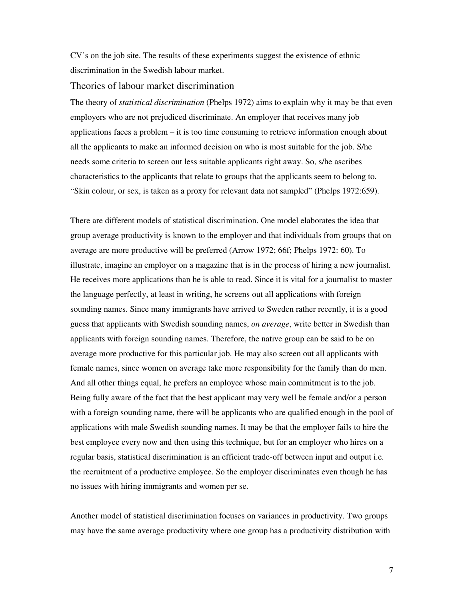CV's on the job site. The results of these experiments suggest the existence of ethnic discrimination in the Swedish labour market.

#### Theories of labour market discrimination

The theory of *statistical discrimination* (Phelps 1972) aims to explain why it may be that even employers who are not prejudiced discriminate. An employer that receives many job applications faces a problem – it is too time consuming to retrieve information enough about all the applicants to make an informed decision on who is most suitable for the job. S/he needs some criteria to screen out less suitable applicants right away. So, s/he ascribes characteristics to the applicants that relate to groups that the applicants seem to belong to. "Skin colour, or sex, is taken as a proxy for relevant data not sampled" (Phelps 1972:659).

There are different models of statistical discrimination. One model elaborates the idea that group average productivity is known to the employer and that individuals from groups that on average are more productive will be preferred (Arrow 1972; 66f; Phelps 1972: 60). To illustrate, imagine an employer on a magazine that is in the process of hiring a new journalist. He receives more applications than he is able to read. Since it is vital for a journalist to master the language perfectly, at least in writing, he screens out all applications with foreign sounding names. Since many immigrants have arrived to Sweden rather recently, it is a good guess that applicants with Swedish sounding names, *on average*, write better in Swedish than applicants with foreign sounding names. Therefore, the native group can be said to be on average more productive for this particular job. He may also screen out all applicants with female names, since women on average take more responsibility for the family than do men. And all other things equal, he prefers an employee whose main commitment is to the job. Being fully aware of the fact that the best applicant may very well be female and/or a person with a foreign sounding name, there will be applicants who are qualified enough in the pool of applications with male Swedish sounding names. It may be that the employer fails to hire the best employee every now and then using this technique, but for an employer who hires on a regular basis, statistical discrimination is an efficient trade-off between input and output i.e. the recruitment of a productive employee. So the employer discriminates even though he has no issues with hiring immigrants and women per se.

Another model of statistical discrimination focuses on variances in productivity. Two groups may have the same average productivity where one group has a productivity distribution with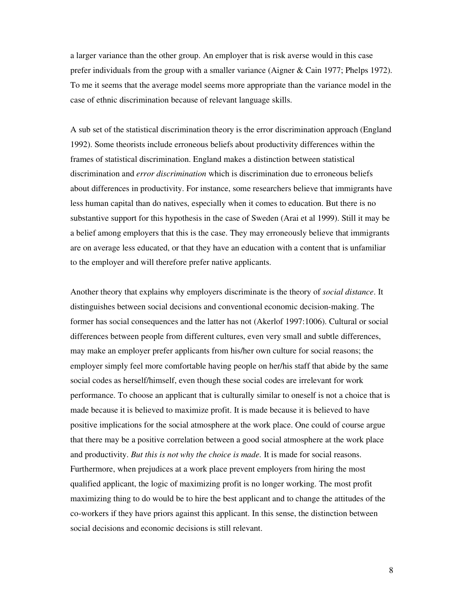a larger variance than the other group. An employer that is risk averse would in this case prefer individuals from the group with a smaller variance (Aigner & Cain 1977; Phelps 1972). To me it seems that the average model seems more appropriate than the variance model in the case of ethnic discrimination because of relevant language skills.

A sub set of the statistical discrimination theory is the error discrimination approach (England 1992). Some theorists include erroneous beliefs about productivity differences within the frames of statistical discrimination. England makes a distinction between statistical discrimination and *error discrimination* which is discrimination due to erroneous beliefs about differences in productivity. For instance, some researchers believe that immigrants have less human capital than do natives, especially when it comes to education. But there is no substantive support for this hypothesis in the case of Sweden (Arai et al 1999). Still it may be a belief among employers that this is the case. They may erroneously believe that immigrants are on average less educated, or that they have an education with a content that is unfamiliar to the employer and will therefore prefer native applicants.

Another theory that explains why employers discriminate is the theory of *social distance*. It distinguishes between social decisions and conventional economic decision-making. The former has social consequences and the latter has not (Akerlof 1997:1006). Cultural or social differences between people from different cultures, even very small and subtle differences, may make an employer prefer applicants from his/her own culture for social reasons; the employer simply feel more comfortable having people on her/his staff that abide by the same social codes as herself/himself, even though these social codes are irrelevant for work performance. To choose an applicant that is culturally similar to oneself is not a choice that is made because it is believed to maximize profit. It is made because it is believed to have positive implications for the social atmosphere at the work place. One could of course argue that there may be a positive correlation between a good social atmosphere at the work place and productivity. *But this is not why the choice is made.* It is made for social reasons. Furthermore, when prejudices at a work place prevent employers from hiring the most qualified applicant, the logic of maximizing profit is no longer working. The most profit maximizing thing to do would be to hire the best applicant and to change the attitudes of the co-workers if they have priors against this applicant. In this sense, the distinction between social decisions and economic decisions is still relevant.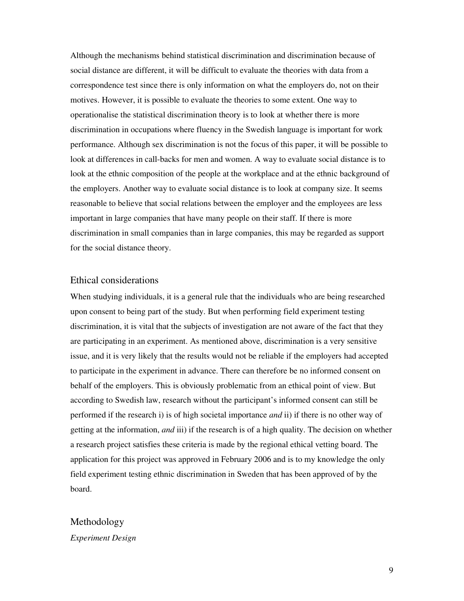Although the mechanisms behind statistical discrimination and discrimination because of social distance are different, it will be difficult to evaluate the theories with data from a correspondence test since there is only information on what the employers do, not on their motives. However, it is possible to evaluate the theories to some extent. One way to operationalise the statistical discrimination theory is to look at whether there is more discrimination in occupations where fluency in the Swedish language is important for work performance. Although sex discrimination is not the focus of this paper, it will be possible to look at differences in call-backs for men and women. A way to evaluate social distance is to look at the ethnic composition of the people at the workplace and at the ethnic background of the employers. Another way to evaluate social distance is to look at company size. It seems reasonable to believe that social relations between the employer and the employees are less important in large companies that have many people on their staff. If there is more discrimination in small companies than in large companies, this may be regarded as support for the social distance theory.

### Ethical considerations

When studying individuals, it is a general rule that the individuals who are being researched upon consent to being part of the study. But when performing field experiment testing discrimination, it is vital that the subjects of investigation are not aware of the fact that they are participating in an experiment. As mentioned above, discrimination is a very sensitive issue, and it is very likely that the results would not be reliable if the employers had accepted to participate in the experiment in advance. There can therefore be no informed consent on behalf of the employers. This is obviously problematic from an ethical point of view. But according to Swedish law, research without the participant's informed consent can still be performed if the research i) is of high societal importance *and* ii) if there is no other way of getting at the information, *and* iii) if the research is of a high quality. The decision on whether a research project satisfies these criteria is made by the regional ethical vetting board. The application for this project was approved in February 2006 and is to my knowledge the only field experiment testing ethnic discrimination in Sweden that has been approved of by the board.

# Methodology *Experiment Design*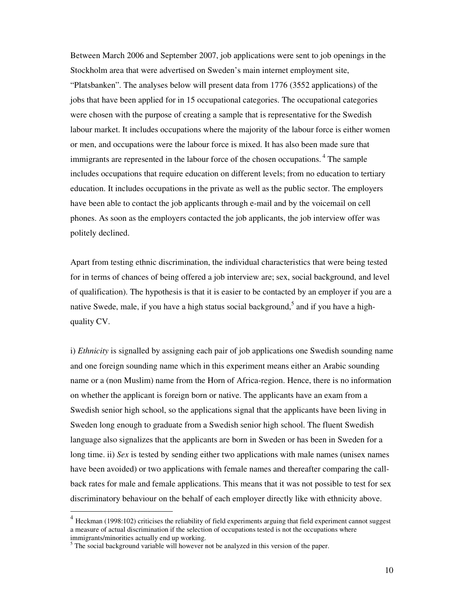Between March 2006 and September 2007, job applications were sent to job openings in the Stockholm area that were advertised on Sweden's main internet employment site, "Platsbanken". The analyses below will present data from 1776 (3552 applications) of the jobs that have been applied for in 15 occupational categories. The occupational categories were chosen with the purpose of creating a sample that is representative for the Swedish labour market. It includes occupations where the majority of the labour force is either women or men, and occupations were the labour force is mixed. It has also been made sure that immigrants are represented in the labour force of the chosen occupations.<sup>4</sup> The sample includes occupations that require education on different levels; from no education to tertiary education. It includes occupations in the private as well as the public sector. The employers have been able to contact the job applicants through e-mail and by the voicemail on cell phones. As soon as the employers contacted the job applicants, the job interview offer was politely declined.

Apart from testing ethnic discrimination, the individual characteristics that were being tested for in terms of chances of being offered a job interview are; sex, social background, and level of qualification). The hypothesis is that it is easier to be contacted by an employer if you are a native Swede, male, if you have a high status social background,<sup>5</sup> and if you have a highquality CV.

i) *Ethnicity* is signalled by assigning each pair of job applications one Swedish sounding name and one foreign sounding name which in this experiment means either an Arabic sounding name or a (non Muslim) name from the Horn of Africa-region. Hence, there is no information on whether the applicant is foreign born or native. The applicants have an exam from a Swedish senior high school, so the applications signal that the applicants have been living in Sweden long enough to graduate from a Swedish senior high school. The fluent Swedish language also signalizes that the applicants are born in Sweden or has been in Sweden for a long time. ii) *Sex* is tested by sending either two applications with male names (unisex names have been avoided) or two applications with female names and thereafter comparing the callback rates for male and female applications. This means that it was not possible to test for sex discriminatory behaviour on the behalf of each employer directly like with ethnicity above.

-

 $4$  Heckman (1998:102) criticises the reliability of field experiments arguing that field experiment cannot suggest a measure of actual discrimination if the selection of occupations tested is not the occupations where immigrants/minorities actually end up working.

<sup>&</sup>lt;sup>5</sup> The social background variable will however not be analyzed in this version of the paper.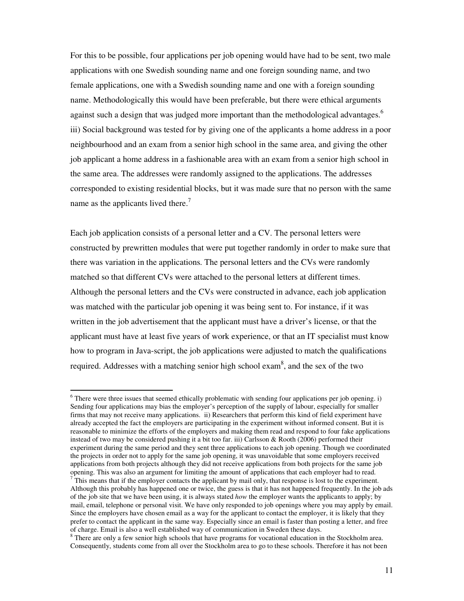For this to be possible, four applications per job opening would have had to be sent, two male applications with one Swedish sounding name and one foreign sounding name, and two female applications, one with a Swedish sounding name and one with a foreign sounding name. Methodologically this would have been preferable, but there were ethical arguments against such a design that was judged more important than the methodological advantages.<sup>6</sup> iii) Social background was tested for by giving one of the applicants a home address in a poor neighbourhood and an exam from a senior high school in the same area, and giving the other job applicant a home address in a fashionable area with an exam from a senior high school in the same area. The addresses were randomly assigned to the applications. The addresses corresponded to existing residential blocks, but it was made sure that no person with the same name as the applicants lived there.<sup>7</sup>

Each job application consists of a personal letter and a CV. The personal letters were constructed by prewritten modules that were put together randomly in order to make sure that there was variation in the applications. The personal letters and the CVs were randomly matched so that different CVs were attached to the personal letters at different times. Although the personal letters and the CVs were constructed in advance, each job application was matched with the particular job opening it was being sent to. For instance, if it was written in the job advertisement that the applicant must have a driver's license, or that the applicant must have at least five years of work experience, or that an IT specialist must know how to program in Java-script, the job applications were adjusted to match the qualifications required. Addresses with a matching senior high school exam<sup>8</sup>, and the sex of the two

-

<sup>&</sup>lt;sup>6</sup> There were three issues that seemed ethically problematic with sending four applications per job opening. i) Sending four applications may bias the employer's perception of the supply of labour, especially for smaller firms that may not receive many applications. ii) Researchers that perform this kind of field experiment have already accepted the fact the employers are participating in the experiment without informed consent. But it is reasonable to minimize the efforts of the employers and making them read and respond to four fake applications instead of two may be considered pushing it a bit too far. iii) Carlsson & Rooth (2006) performed their experiment during the same period and they sent three applications to each job opening. Though we coordinated the projects in order not to apply for the same job opening, it was unavoidable that some employers received applications from both projects although they did not receive applications from both projects for the same job opening. This was also an argument for limiting the amount of applications that each employer had to read.

 $\overline{7}$  This means that if the employer contacts the applicant by mail only, that response is lost to the experiment. Although this probably has happened one or twice, the guess is that it has not happened frequently. In the job ads of the job site that we have been using, it is always stated *how* the employer wants the applicants to apply; by mail, email, telephone or personal visit. We have only responded to job openings where you may apply by email. Since the employers have chosen email as a way for the applicant to contact the employer, it is likely that they prefer to contact the applicant in the same way. Especially since an email is faster than posting a letter, and free of charge. Email is also a well established way of communication in Sweden these days.

<sup>&</sup>lt;sup>8</sup> There are only a few senior high schools that have programs for vocational education in the Stockholm area. Consequently, students come from all over the Stockholm area to go to these schools. Therefore it has not been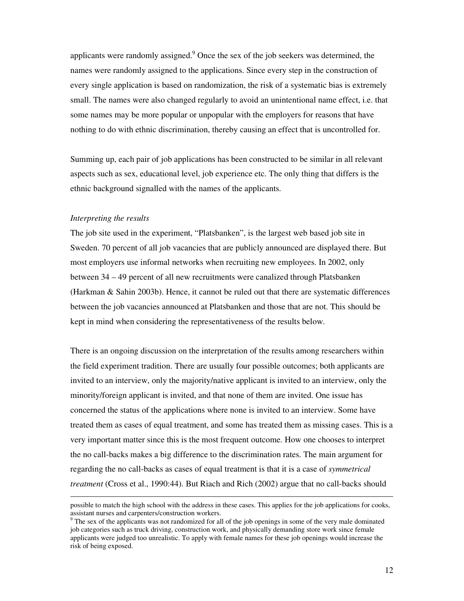applicants were randomly assigned. $9$  Once the sex of the job seekers was determined, the names were randomly assigned to the applications. Since every step in the construction of every single application is based on randomization, the risk of a systematic bias is extremely small. The names were also changed regularly to avoid an unintentional name effect, i.e. that some names may be more popular or unpopular with the employers for reasons that have nothing to do with ethnic discrimination, thereby causing an effect that is uncontrolled for.

Summing up, each pair of job applications has been constructed to be similar in all relevant aspects such as sex, educational level, job experience etc. The only thing that differs is the ethnic background signalled with the names of the applicants.

#### *Interpreting the results*

-

The job site used in the experiment, "Platsbanken", is the largest web based job site in Sweden. 70 percent of all job vacancies that are publicly announced are displayed there. But most employers use informal networks when recruiting new employees. In 2002, only between 34 – 49 percent of all new recruitments were canalized through Platsbanken (Harkman & Sahin 2003b). Hence, it cannot be ruled out that there are systematic differences between the job vacancies announced at Platsbanken and those that are not. This should be kept in mind when considering the representativeness of the results below.

There is an ongoing discussion on the interpretation of the results among researchers within the field experiment tradition. There are usually four possible outcomes; both applicants are invited to an interview, only the majority/native applicant is invited to an interview, only the minority/foreign applicant is invited, and that none of them are invited. One issue has concerned the status of the applications where none is invited to an interview. Some have treated them as cases of equal treatment, and some has treated them as missing cases. This is a very important matter since this is the most frequent outcome. How one chooses to interpret the no call-backs makes a big difference to the discrimination rates. The main argument for regarding the no call-backs as cases of equal treatment is that it is a case of *symmetrical treatment* (Cross et al., 1990:44). But Riach and Rich (2002) argue that no call-backs should

possible to match the high school with the address in these cases. This applies for the job applications for cooks, assistant nurses and carpenters/construction workers.

<sup>&</sup>lt;sup>9</sup> The sex of the applicants was not randomized for all of the job openings in some of the very male dominated job categories such as truck driving, construction work, and physically demanding store work since female applicants were judged too unrealistic. To apply with female names for these job openings would increase the risk of being exposed.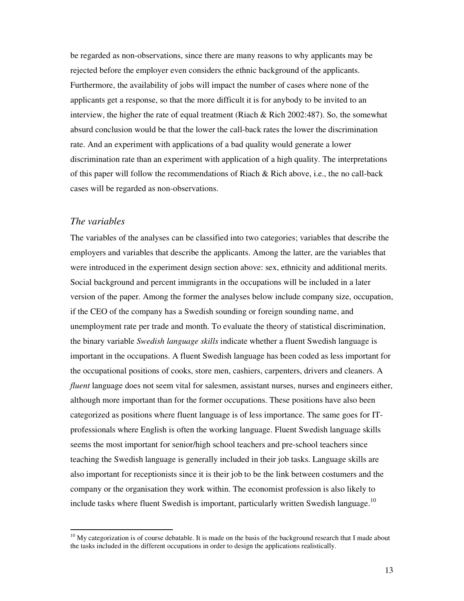be regarded as non-observations, since there are many reasons to why applicants may be rejected before the employer even considers the ethnic background of the applicants. Furthermore, the availability of jobs will impact the number of cases where none of the applicants get a response, so that the more difficult it is for anybody to be invited to an interview, the higher the rate of equal treatment (Riach  $\&$  Rich 2002:487). So, the somewhat absurd conclusion would be that the lower the call-back rates the lower the discrimination rate. And an experiment with applications of a bad quality would generate a lower discrimination rate than an experiment with application of a high quality. The interpretations of this paper will follow the recommendations of Riach & Rich above, i.e., the no call-back cases will be regarded as non-observations.

### *The variables*

-

The variables of the analyses can be classified into two categories; variables that describe the employers and variables that describe the applicants. Among the latter, are the variables that were introduced in the experiment design section above: sex, ethnicity and additional merits. Social background and percent immigrants in the occupations will be included in a later version of the paper. Among the former the analyses below include company size, occupation, if the CEO of the company has a Swedish sounding or foreign sounding name, and unemployment rate per trade and month. To evaluate the theory of statistical discrimination, the binary variable *Swedish language skills* indicate whether a fluent Swedish language is important in the occupations. A fluent Swedish language has been coded as less important for the occupational positions of cooks, store men, cashiers, carpenters, drivers and cleaners. A *fluent* language does not seem vital for salesmen, assistant nurses, nurses and engineers either, although more important than for the former occupations. These positions have also been categorized as positions where fluent language is of less importance. The same goes for ITprofessionals where English is often the working language. Fluent Swedish language skills seems the most important for senior/high school teachers and pre-school teachers since teaching the Swedish language is generally included in their job tasks. Language skills are also important for receptionists since it is their job to be the link between costumers and the company or the organisation they work within. The economist profession is also likely to include tasks where fluent Swedish is important, particularly written Swedish language.<sup>10</sup>

 $10$  My categorization is of course debatable. It is made on the basis of the background research that I made about the tasks included in the different occupations in order to design the applications realistically.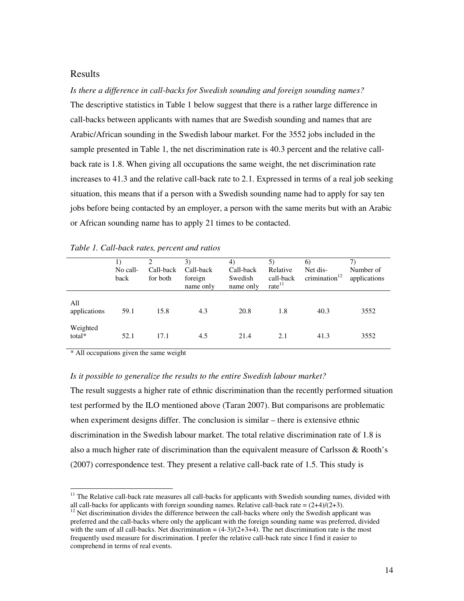### Results

*Is there a difference in call-backs for Swedish sounding and foreign sounding names?*  The descriptive statistics in Table 1 below suggest that there is a rather large difference in call-backs between applicants with names that are Swedish sounding and names that are Arabic/African sounding in the Swedish labour market. For the 3552 jobs included in the sample presented in Table 1, the net discrimination rate is 40.3 percent and the relative callback rate is 1.8. When giving all occupations the same weight, the net discrimination rate increases to 41.3 and the relative call-back rate to 2.1. Expressed in terms of a real job seeking situation, this means that if a person with a Swedish sounding name had to apply for say ten jobs before being contacted by an employer, a person with the same merits but with an Arabic or African sounding name has to apply 21 times to be contacted.

|                     | No call-<br>back | 2<br>Call-back<br>for both | 3)<br>Call-back<br>foreign<br>name only | 4)<br>Call-back<br>Swedish<br>name only | 5)<br>Relative<br>call-back<br>rate <sup>11</sup> | 6)<br>Net dis-<br>crimination $12$ | 7)<br>Number of<br>applications |
|---------------------|------------------|----------------------------|-----------------------------------------|-----------------------------------------|---------------------------------------------------|------------------------------------|---------------------------------|
| All<br>applications | 59.1             | 15.8                       | 4.3                                     | 20.8                                    | 1.8                                               | 40.3                               | 3552                            |
| Weighted<br>total*  | 52.1             | 17.1                       | 4.5                                     | 21.4                                    | 2.1                                               | 41.3                               | 3552                            |

#### *Table 1. Call-back rates, percent and ratios*

\* All occupations given the same weight

-

#### *Is it possible to generalize the results to the entire Swedish labour market?*

The result suggests a higher rate of ethnic discrimination than the recently performed situation test performed by the ILO mentioned above (Taran 2007). But comparisons are problematic when experiment designs differ. The conclusion is similar – there is extensive ethnic discrimination in the Swedish labour market. The total relative discrimination rate of 1.8 is also a much higher rate of discrimination than the equivalent measure of Carlsson & Rooth's (2007) correspondence test. They present a relative call-back rate of 1.5. This study is

 $11$  The Relative call-back rate measures all call-backs for applicants with Swedish sounding names, divided with all call-backs for applicants with foreign sounding names. Relative call-back rate =  $(2+4)/(2+3)$ .

<sup>&</sup>lt;sup>12</sup> Net discrimination divides the difference between the call-backs where only the Swedish applicant was preferred and the call-backs where only the applicant with the foreign sounding name was preferred, divided with the sum of all call-backs. Net discrimination  $= (4-3)/(2+3+4)$ . The net discrimination rate is the most frequently used measure for discrimination. I prefer the relative call-back rate since I find it easier to comprehend in terms of real events.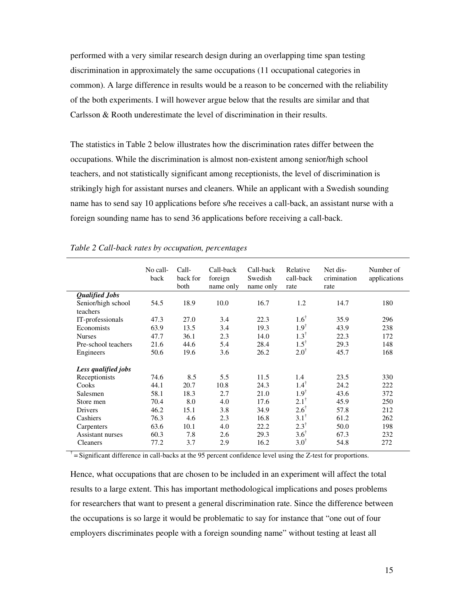performed with a very similar research design during an overlapping time span testing discrimination in approximately the same occupations (11 occupational categories in common). A large difference in results would be a reason to be concerned with the reliability of the both experiments. I will however argue below that the results are similar and that Carlsson & Rooth underestimate the level of discrimination in their results.

The statistics in Table 2 below illustrates how the discrimination rates differ between the occupations. While the discrimination is almost non-existent among senior/high school teachers, and not statistically significant among receptionists, the level of discrimination is strikingly high for assistant nurses and cleaners. While an applicant with a Swedish sounding name has to send say 10 applications before s/he receives a call-back, an assistant nurse with a foreign sounding name has to send 36 applications before receiving a call-back.

|                     | No call-<br>back | Call-<br>back for<br>both | Call-back<br>foreign<br>name only | Call-back<br>Swedish<br>name only | Relative<br>call-back<br>rate | Net dis-<br>crimination<br>rate | Number of<br>applications |
|---------------------|------------------|---------------------------|-----------------------------------|-----------------------------------|-------------------------------|---------------------------------|---------------------------|
| Qualified Jobs      |                  |                           |                                   |                                   |                               |                                 |                           |
| Senior/high school  | 54.5             | 18.9                      | 10.0                              | 16.7                              | 1.2                           | 14.7                            | 180                       |
| teachers            |                  |                           |                                   |                                   |                               |                                 |                           |
| IT-professionals    | 47.3             | 27.0                      | 3.4                               | 22.3                              | $1.6^\dagger$                 | 35.9                            | 296                       |
| Economists          | 63.9             | 13.5                      | 3.4                               | 19.3                              | $1.9^{\dagger}$               | 43.9                            | 238                       |
| <b>Nurses</b>       | 47.7             | 36.1                      | 2.3                               | 14.0                              | $1.3^{\dagger}$               | 22.3                            | 172                       |
| Pre-school teachers | 21.6             | 44.6                      | 5.4                               | 28.4                              | $1.5^{\dagger}$               | 29.3                            | 148                       |
| Engineers           | 50.6             | 19.6                      | 3.6                               | 26.2                              | $2.0^{\dagger}$               | 45.7                            | 168                       |
| Less qualified jobs |                  |                           |                                   |                                   |                               |                                 |                           |
| Receptionists       | 74.6             | 8.5                       | 5.5                               | 11.5                              | 1.4                           | 23.5                            | 330                       |
| Cooks               | 44.1             | 20.7                      | 10.8                              | 24.3                              | $1.4^{\dagger}$               | 24.2                            | 222                       |
| Salesmen            | 58.1             | 18.3                      | 2.7                               | 21.0                              | $1.9^{\dagger}$               | 43.6                            | 372                       |
| Store men           | 70.4             | 8.0                       | 4.0                               | 17.6                              | $2.1^{\dagger}$               | 45.9                            | 250                       |
| Drivers             | 46.2             | 15.1                      | 3.8                               | 34.9                              | $2.6^{\dagger}$               | 57.8                            | 212                       |
| Cashiers            | 76.3             | 4.6                       | 2.3                               | 16.8                              | $3.1^{\dagger}$               | 61.2                            | 262                       |
| Carpenters          | 63.6             | 10.1                      | 4.0                               | 22.2                              | $2.3^{\dagger}$               | 50.0                            | 198                       |
| Assistant nurses    | 60.3             | 7.8                       | 2.6                               | 29.3                              | $3.6^{\dagger}$               | 67.3                            | 232                       |
| <b>Cleaners</b>     | 77.2             | 3.7                       | 2.9                               | 16.2                              | $3.0^{\dagger}$               | 54.8                            | 272                       |

#### *Table 2 Call-back rates by occupation, percentages*

 $\bar{f}$  = Significant difference in call-backs at the 95 percent confidence level using the Z-test for proportions.

Hence, what occupations that are chosen to be included in an experiment will affect the total results to a large extent. This has important methodological implications and poses problems for researchers that want to present a general discrimination rate. Since the difference between the occupations is so large it would be problematic to say for instance that "one out of four employers discriminates people with a foreign sounding name" without testing at least all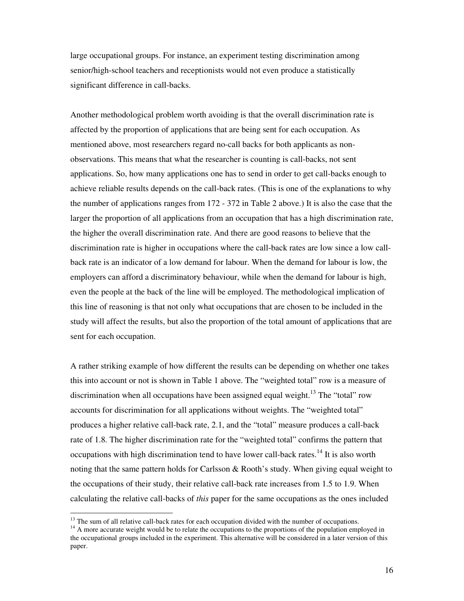large occupational groups. For instance, an experiment testing discrimination among senior/high-school teachers and receptionists would not even produce a statistically significant difference in call-backs.

Another methodological problem worth avoiding is that the overall discrimination rate is affected by the proportion of applications that are being sent for each occupation. As mentioned above, most researchers regard no-call backs for both applicants as nonobservations. This means that what the researcher is counting is call-backs, not sent applications. So, how many applications one has to send in order to get call-backs enough to achieve reliable results depends on the call-back rates. (This is one of the explanations to why the number of applications ranges from 172 - 372 in Table 2 above.) It is also the case that the larger the proportion of all applications from an occupation that has a high discrimination rate, the higher the overall discrimination rate. And there are good reasons to believe that the discrimination rate is higher in occupations where the call-back rates are low since a low callback rate is an indicator of a low demand for labour. When the demand for labour is low, the employers can afford a discriminatory behaviour, while when the demand for labour is high, even the people at the back of the line will be employed. The methodological implication of this line of reasoning is that not only what occupations that are chosen to be included in the study will affect the results, but also the proportion of the total amount of applications that are sent for each occupation.

A rather striking example of how different the results can be depending on whether one takes this into account or not is shown in Table 1 above. The "weighted total" row is a measure of discrimination when all occupations have been assigned equal weight.<sup>13</sup> The "total" row accounts for discrimination for all applications without weights. The "weighted total" produces a higher relative call-back rate, 2.1, and the "total" measure produces a call-back rate of 1.8. The higher discrimination rate for the "weighted total" confirms the pattern that occupations with high discrimination tend to have lower call-back rates.<sup>14</sup> It is also worth noting that the same pattern holds for Carlsson & Rooth's study. When giving equal weight to the occupations of their study, their relative call-back rate increases from 1.5 to 1.9. When calculating the relative call-backs of *this* paper for the same occupations as the ones included

-

<sup>&</sup>lt;sup>13</sup> The sum of all relative call-back rates for each occupation divided with the number of occupations.

<sup>&</sup>lt;sup>14</sup> A more accurate weight would be to relate the occupations to the proportions of the population employed in the occupational groups included in the experiment. This alternative will be considered in a later version of this paper.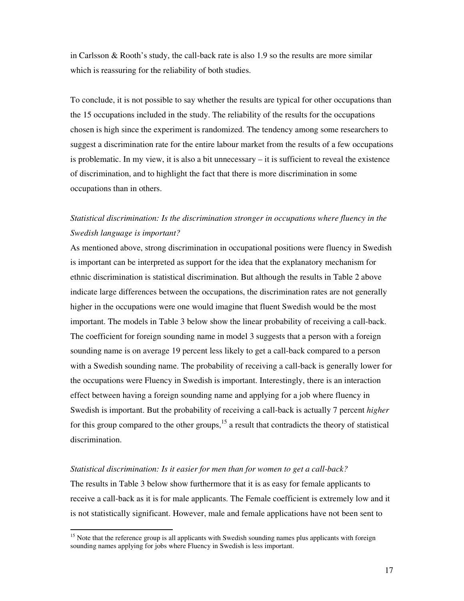in Carlsson & Rooth's study, the call-back rate is also  $1.9$  so the results are more similar which is reassuring for the reliability of both studies.

To conclude, it is not possible to say whether the results are typical for other occupations than the 15 occupations included in the study. The reliability of the results for the occupations chosen is high since the experiment is randomized. The tendency among some researchers to suggest a discrimination rate for the entire labour market from the results of a few occupations is problematic. In my view, it is also a bit unnecessary – it is sufficient to reveal the existence of discrimination, and to highlight the fact that there is more discrimination in some occupations than in others.

# *Statistical discrimination: Is the discrimination stronger in occupations where fluency in the Swedish language is important?*

As mentioned above, strong discrimination in occupational positions were fluency in Swedish is important can be interpreted as support for the idea that the explanatory mechanism for ethnic discrimination is statistical discrimination. But although the results in Table 2 above indicate large differences between the occupations, the discrimination rates are not generally higher in the occupations were one would imagine that fluent Swedish would be the most important. The models in Table 3 below show the linear probability of receiving a call-back. The coefficient for foreign sounding name in model 3 suggests that a person with a foreign sounding name is on average 19 percent less likely to get a call-back compared to a person with a Swedish sounding name. The probability of receiving a call-back is generally lower for the occupations were Fluency in Swedish is important. Interestingly, there is an interaction effect between having a foreign sounding name and applying for a job where fluency in Swedish is important. But the probability of receiving a call-back is actually 7 percent *higher*  for this group compared to the other groups, $15$  a result that contradicts the theory of statistical discrimination.

#### *Statistical discrimination: Is it easier for men than for women to get a call-back?*

-

The results in Table 3 below show furthermore that it is as easy for female applicants to receive a call-back as it is for male applicants. The Female coefficient is extremely low and it is not statistically significant. However, male and female applications have not been sent to

<sup>&</sup>lt;sup>15</sup> Note that the reference group is all applicants with Swedish sounding names plus applicants with foreign sounding names applying for jobs where Fluency in Swedish is less important.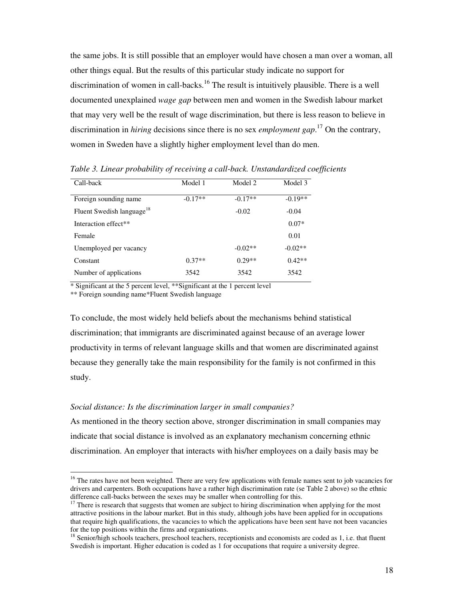the same jobs. It is still possible that an employer would have chosen a man over a woman, all other things equal. But the results of this particular study indicate no support for discrimination of women in call-backs.<sup>16</sup> The result is intuitively plausible. There is a well documented unexplained *wage gap* between men and women in the Swedish labour market that may very well be the result of wage discrimination, but there is less reason to believe in discrimination in *hiring* decisions since there is no sex *employment gap*. <sup>17</sup> On the contrary, women in Sweden have a slightly higher employment level than do men.

| Call-back                             | Model 1   | Model 2   | Model 3   |
|---------------------------------------|-----------|-----------|-----------|
| Foreign sounding name                 | $-0.17**$ | $-0.17**$ | $-0.19**$ |
| Fluent Swedish language <sup>18</sup> |           | $-0.02$   | $-0.04$   |
| Interaction effect**                  |           |           | $0.07*$   |
| Female                                |           |           | 0.01      |
| Unemployed per vacancy                |           | $-0.02**$ | $-0.02**$ |
| Constant                              | $0.37**$  | $0.29**$  | $0.42**$  |
| Number of applications                | 3542      | 3542      | 3542      |

*Table 3. Linear probability of receiving a call-back. Unstandardized coefficients*

\* Significant at the 5 percent level, \*\*Significant at the 1 percent level

\*\* Foreign sounding name\*Fluent Swedish language

-

To conclude, the most widely held beliefs about the mechanisms behind statistical discrimination; that immigrants are discriminated against because of an average lower productivity in terms of relevant language skills and that women are discriminated against because they generally take the main responsibility for the family is not confirmed in this study.

#### *Social distance: Is the discrimination larger in small companies?*

As mentioned in the theory section above, stronger discrimination in small companies may indicate that social distance is involved as an explanatory mechanism concerning ethnic discrimination. An employer that interacts with his/her employees on a daily basis may be

<sup>&</sup>lt;sup>16</sup> The rates have not been weighted. There are very few applications with female names sent to job vacancies for drivers and carpenters. Both occupations have a rather high discrimination rate (se Table 2 above) so the ethnic difference call-backs between the sexes may be smaller when controlling for this.

<sup>&</sup>lt;sup>17</sup> There is research that suggests that women are subject to hiring discrimination when applying for the most attractive positions in the labour market. But in this study, although jobs have been applied for in occupations that require high qualifications, the vacancies to which the applications have been sent have not been vacancies for the top positions within the firms and organisations.

 $18$  Senior/high schools teachers, preschool teachers, receptionists and economists are coded as 1, i.e. that fluent Swedish is important. Higher education is coded as 1 for occupations that require a university degree.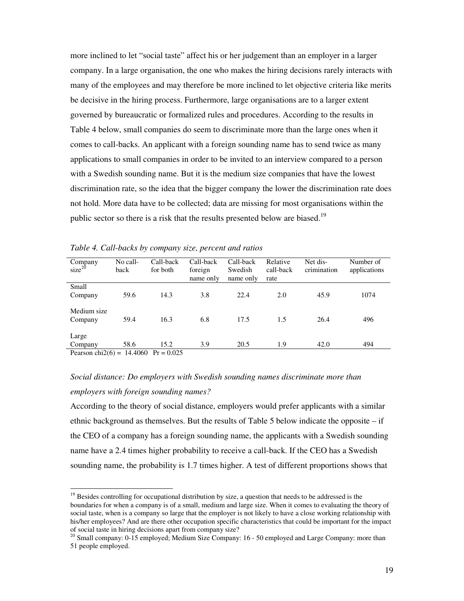more inclined to let "social taste" affect his or her judgement than an employer in a larger company. In a large organisation, the one who makes the hiring decisions rarely interacts with many of the employees and may therefore be more inclined to let objective criteria like merits be decisive in the hiring process. Furthermore, large organisations are to a larger extent governed by bureaucratic or formalized rules and procedures. According to the results in Table 4 below, small companies do seem to discriminate more than the large ones when it comes to call-backs. An applicant with a foreign sounding name has to send twice as many applications to small companies in order to be invited to an interview compared to a person with a Swedish sounding name. But it is the medium size companies that have the lowest discrimination rate, so the idea that the bigger company the lower the discrimination rate does not hold. More data have to be collected; data are missing for most organisations within the public sector so there is a risk that the results presented below are biased.<sup>19</sup>

| Company<br>$size^{20}$    | No call-<br>back | Call-back<br>for both | Call-back<br>foreign<br>name only | Call-back<br>Swedish<br>name only | Relative<br>call-back<br>rate | Net dis-<br>crimination | Number of<br>applications |
|---------------------------|------------------|-----------------------|-----------------------------------|-----------------------------------|-------------------------------|-------------------------|---------------------------|
| Small                     |                  |                       |                                   |                                   |                               |                         |                           |
| Company                   | 59.6             | 14.3                  | 3.8                               | 22.4                              | 2.0                           | 45.9                    | 1074                      |
| Medium size               |                  |                       |                                   |                                   |                               |                         |                           |
| Company                   | 59.4             | 16.3                  | 6.8                               | 17.5                              | 1.5                           | 26.4                    | 496                       |
| Large                     |                  |                       |                                   |                                   |                               |                         |                           |
| Company                   | 58.6             | 15.2                  | 3.9                               | 20.5                              | 1.9                           | 42.0                    | 494                       |
| $Darcon ch1(6) = 14.4060$ |                  | $D_r = 0.025$         |                                   |                                   |                               |                         |                           |

*Table 4. Call-backs by company size, percent and ratios* 

Pearson chi2(6) =  $14.4060$  Pr = 0.025

-

# *Social distance: Do employers with Swedish sounding names discriminate more than employers with foreign sounding names?*

According to the theory of social distance, employers would prefer applicants with a similar ethnic background as themselves. But the results of Table 5 below indicate the opposite – if the CEO of a company has a foreign sounding name, the applicants with a Swedish sounding name have a 2.4 times higher probability to receive a call-back. If the CEO has a Swedish sounding name, the probability is 1.7 times higher. A test of different proportions shows that

 $19$  Besides controlling for occupational distribution by size, a question that needs to be addressed is the boundaries for when a company is of a small, medium and large size. When it comes to evaluating the theory of social taste, when is a company so large that the employer is not likely to have a close working relationship with his/her employees? And are there other occupation specific characteristics that could be important for the impact of social taste in hiring decisions apart from company size?

<sup>&</sup>lt;sup>20</sup> Small company: 0-15 employed; Medium Size Company: 16 - 50 employed and Large Company: more than 51 people employed.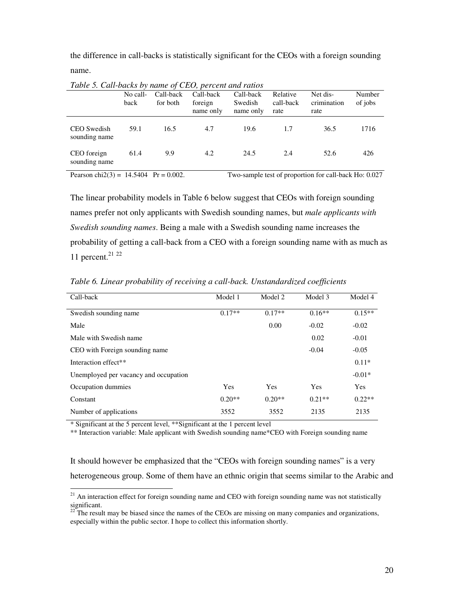the difference in call-backs is statistically significant for the CEOs with a foreign sounding name.

| Table 5. Call-backs by name of CEO, percent and ratios |          |           |           |           |           |             |         |
|--------------------------------------------------------|----------|-----------|-----------|-----------|-----------|-------------|---------|
|                                                        | No call- | Call-back | Call-back | Call-back | Relative  | Net dis-    | Number  |
|                                                        | back     | for both  | foreign   | Swedish   | call-back | crimination | of jobs |
|                                                        |          |           | name only | name only | rate      | rate        |         |
| CEO Swedish<br>sounding name                           | 59.1     | 16.5      | 4.7       | 19.6      | 1.7       | 36.5        | 1716    |
| CEO foreign<br>sounding name                           | 61.4     | 9.9       | 4.2       | 24.5      | 2.4       | 52.6        | 426     |

*Table 5. Call-backs by name of CEO, percent and ratios* 

Pearson chi $2(3) = 14.5404$  Pr = 0.002. Two-sample test of proportion for call-back Ho: 0.027

The linear probability models in Table 6 below suggest that CEOs with foreign sounding names prefer not only applicants with Swedish sounding names, but *male applicants with Swedish sounding names*. Being a male with a Swedish sounding name increases the probability of getting a call-back from a CEO with a foreign sounding name with as much as 11 percent. $21 22$ 

| Call-back                             | Model 1  | Model 2  | Model 3  | Model 4    |
|---------------------------------------|----------|----------|----------|------------|
| Swedish sounding name                 | $0.17**$ | $0.17**$ | $0.16**$ | $0.15**$   |
| Male                                  |          | 0.00     | $-0.02$  | $-0.02$    |
| Male with Swedish name                |          |          | 0.02     | $-0.01$    |
| CEO with Foreign sounding name        |          |          | $-0.04$  | $-0.05$    |
| Interaction effect**                  |          |          |          | $0.11*$    |
| Unemployed per vacancy and occupation |          |          |          | $-0.01*$   |
| Occupation dummies                    | Yes      | Yes      | Yes      | <b>Yes</b> |
| Constant                              | $0.20**$ | $0.20**$ | $0.21**$ | $0.22**$   |
| Number of applications                | 3552     | 3552     | 2135     | 2135       |

*Table 6. Linear probability of receiving a call-back. Unstandardized coefficients* 

\* Significant at the 5 percent level, \*\*Significant at the 1 percent level

-

\*\* Interaction variable: Male applicant with Swedish sounding name\*CEO with Foreign sounding name

It should however be emphasized that the "CEOs with foreign sounding names" is a very heterogeneous group. Some of them have an ethnic origin that seems similar to the Arabic and

<sup>&</sup>lt;sup>21</sup> An interaction effect for foreign sounding name and CEO with foreign sounding name was not statistically  $\frac{\text{significant}}{\text{22}}$ 

<sup>22</sup> The result may be biased since the names of the CEOs are missing on many companies and organizations, especially within the public sector. I hope to collect this information shortly.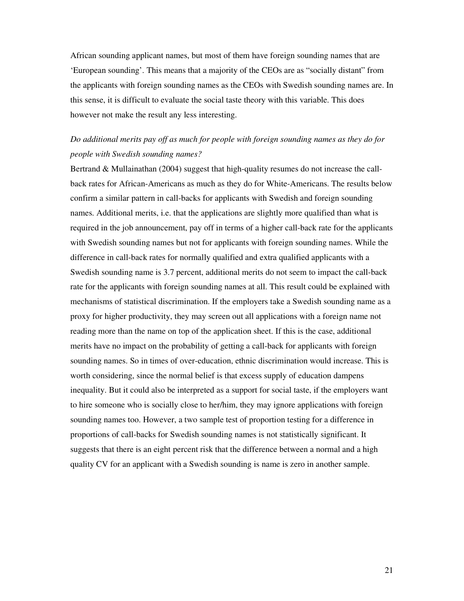African sounding applicant names, but most of them have foreign sounding names that are 'European sounding'. This means that a majority of the CEOs are as "socially distant" from the applicants with foreign sounding names as the CEOs with Swedish sounding names are. In this sense, it is difficult to evaluate the social taste theory with this variable. This does however not make the result any less interesting.

# *Do additional merits pay off as much for people with foreign sounding names as they do for people with Swedish sounding names?*

Bertrand & Mullainathan (2004) suggest that high-quality resumes do not increase the callback rates for African-Americans as much as they do for White-Americans. The results below confirm a similar pattern in call-backs for applicants with Swedish and foreign sounding names. Additional merits, i.e. that the applications are slightly more qualified than what is required in the job announcement, pay off in terms of a higher call-back rate for the applicants with Swedish sounding names but not for applicants with foreign sounding names. While the difference in call-back rates for normally qualified and extra qualified applicants with a Swedish sounding name is 3.7 percent, additional merits do not seem to impact the call-back rate for the applicants with foreign sounding names at all. This result could be explained with mechanisms of statistical discrimination. If the employers take a Swedish sounding name as a proxy for higher productivity, they may screen out all applications with a foreign name not reading more than the name on top of the application sheet. If this is the case, additional merits have no impact on the probability of getting a call-back for applicants with foreign sounding names. So in times of over-education, ethnic discrimination would increase. This is worth considering, since the normal belief is that excess supply of education dampens inequality. But it could also be interpreted as a support for social taste, if the employers want to hire someone who is socially close to her/him, they may ignore applications with foreign sounding names too. However, a two sample test of proportion testing for a difference in proportions of call-backs for Swedish sounding names is not statistically significant. It suggests that there is an eight percent risk that the difference between a normal and a high quality CV for an applicant with a Swedish sounding is name is zero in another sample.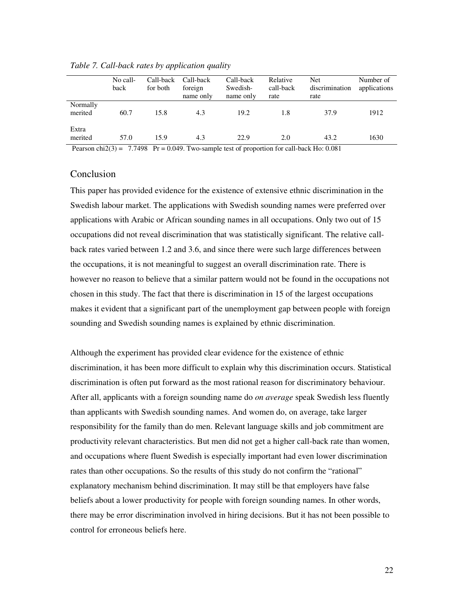|                                                                                 | No call-<br>back | Call-back<br>for both | Call-back<br>foreign<br>name only | Call-back<br>Swedish-<br>name only                                          | Relative<br>call-back<br>rate | <b>Net</b><br>discrimination<br>rate | Number of<br>applications |
|---------------------------------------------------------------------------------|------------------|-----------------------|-----------------------------------|-----------------------------------------------------------------------------|-------------------------------|--------------------------------------|---------------------------|
| Normally<br>merited                                                             | 60.7             | 15.8                  | 4.3                               | 19.2                                                                        | 1.8                           | 37.9                                 | 1912                      |
| Extra<br>merited<br>$\mathbf{D} = \mathbf{1} \cdot \mathbf{A} \cdot \mathbf{A}$ | 57.0             | 15.9                  | 4.3                               | 22.9<br>$77400$ D $0.040$ T $1 + 1$ $1 + 2$ $1 + 3$ $1 + 1$ $1 + 1$ $0.001$ | 2.0                           | 43.2                                 | 1630                      |

*Table 7. Call-back rates by application quality* 

Pearson chi $2(3) = 7.7498$  Pr = 0.049. Two-sample test of proportion for call-back Ho: 0.081

### Conclusion

This paper has provided evidence for the existence of extensive ethnic discrimination in the Swedish labour market. The applications with Swedish sounding names were preferred over applications with Arabic or African sounding names in all occupations. Only two out of 15 occupations did not reveal discrimination that was statistically significant. The relative callback rates varied between 1.2 and 3.6, and since there were such large differences between the occupations, it is not meaningful to suggest an overall discrimination rate. There is however no reason to believe that a similar pattern would not be found in the occupations not chosen in this study. The fact that there is discrimination in 15 of the largest occupations makes it evident that a significant part of the unemployment gap between people with foreign sounding and Swedish sounding names is explained by ethnic discrimination.

Although the experiment has provided clear evidence for the existence of ethnic discrimination, it has been more difficult to explain why this discrimination occurs. Statistical discrimination is often put forward as the most rational reason for discriminatory behaviour. After all, applicants with a foreign sounding name do *on average* speak Swedish less fluently than applicants with Swedish sounding names. And women do, on average, take larger responsibility for the family than do men. Relevant language skills and job commitment are productivity relevant characteristics. But men did not get a higher call-back rate than women, and occupations where fluent Swedish is especially important had even lower discrimination rates than other occupations. So the results of this study do not confirm the "rational" explanatory mechanism behind discrimination. It may still be that employers have false beliefs about a lower productivity for people with foreign sounding names. In other words, there may be error discrimination involved in hiring decisions. But it has not been possible to control for erroneous beliefs here.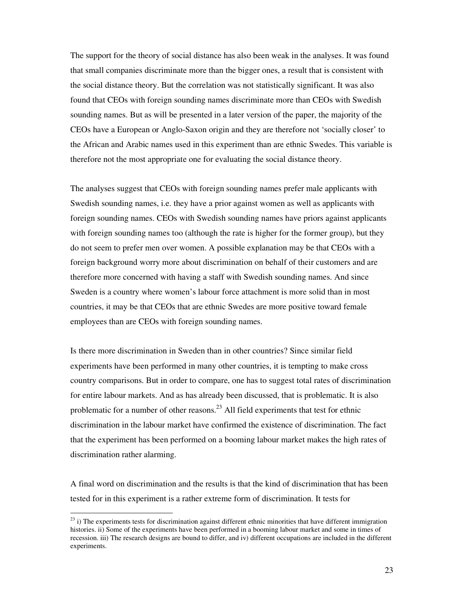The support for the theory of social distance has also been weak in the analyses. It was found that small companies discriminate more than the bigger ones, a result that is consistent with the social distance theory. But the correlation was not statistically significant. It was also found that CEOs with foreign sounding names discriminate more than CEOs with Swedish sounding names. But as will be presented in a later version of the paper, the majority of the CEOs have a European or Anglo-Saxon origin and they are therefore not 'socially closer' to the African and Arabic names used in this experiment than are ethnic Swedes. This variable is therefore not the most appropriate one for evaluating the social distance theory.

The analyses suggest that CEOs with foreign sounding names prefer male applicants with Swedish sounding names, i.e. they have a prior against women as well as applicants with foreign sounding names. CEOs with Swedish sounding names have priors against applicants with foreign sounding names too (although the rate is higher for the former group), but they do not seem to prefer men over women. A possible explanation may be that CEOs with a foreign background worry more about discrimination on behalf of their customers and are therefore more concerned with having a staff with Swedish sounding names. And since Sweden is a country where women's labour force attachment is more solid than in most countries, it may be that CEOs that are ethnic Swedes are more positive toward female employees than are CEOs with foreign sounding names.

Is there more discrimination in Sweden than in other countries? Since similar field experiments have been performed in many other countries, it is tempting to make cross country comparisons. But in order to compare, one has to suggest total rates of discrimination for entire labour markets. And as has already been discussed, that is problematic. It is also problematic for a number of other reasons.<sup>23</sup> All field experiments that test for ethnic discrimination in the labour market have confirmed the existence of discrimination. The fact that the experiment has been performed on a booming labour market makes the high rates of discrimination rather alarming.

A final word on discrimination and the results is that the kind of discrimination that has been tested for in this experiment is a rather extreme form of discrimination. It tests for

-

 $^{23}$  i) The experiments tests for discrimination against different ethnic minorities that have different immigration histories. ii) Some of the experiments have been performed in a booming labour market and some in times of recession. iii) The research designs are bound to differ, and iv) different occupations are included in the different experiments.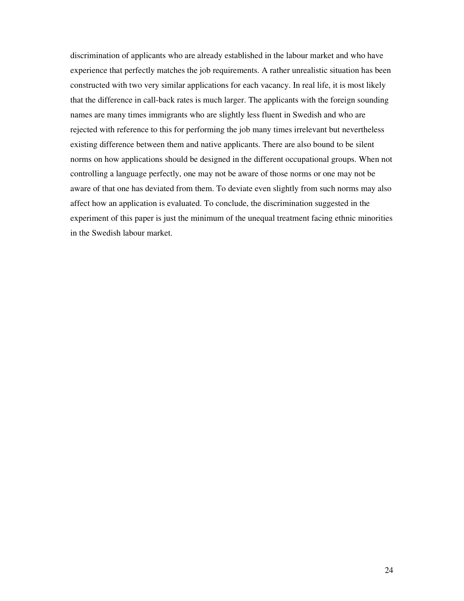discrimination of applicants who are already established in the labour market and who have experience that perfectly matches the job requirements. A rather unrealistic situation has been constructed with two very similar applications for each vacancy. In real life, it is most likely that the difference in call-back rates is much larger. The applicants with the foreign sounding names are many times immigrants who are slightly less fluent in Swedish and who are rejected with reference to this for performing the job many times irrelevant but nevertheless existing difference between them and native applicants. There are also bound to be silent norms on how applications should be designed in the different occupational groups. When not controlling a language perfectly, one may not be aware of those norms or one may not be aware of that one has deviated from them. To deviate even slightly from such norms may also affect how an application is evaluated. To conclude, the discrimination suggested in the experiment of this paper is just the minimum of the unequal treatment facing ethnic minorities in the Swedish labour market.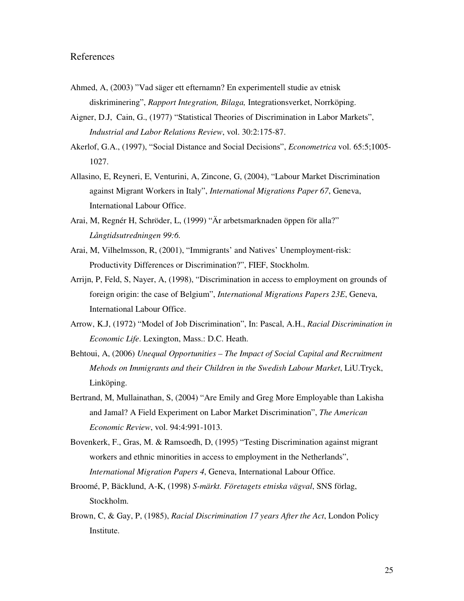### References

- Ahmed, A, (2003) "Vad säger ett efternamn? En experimentell studie av etnisk diskriminering", *Rapport Integration, Bilaga,* Integrationsverket, Norrköping.
- Aigner, D.J, Cain, G., (1977) "Statistical Theories of Discrimination in Labor Markets", *Industrial and Labor Relations Review*, vol. 30:2:175-87.
- Akerlof, G.A., (1997), "Social Distance and Social Decisions", *Econometrica* vol. 65:5;1005- 1027.
- Allasino, E, Reyneri, E, Venturini, A, Zincone, G, (2004), "Labour Market Discrimination against Migrant Workers in Italy", *International Migrations Paper 67*, Geneva, International Labour Office.
- Arai, M, Regnér H, Schröder, L, (1999) "Är arbetsmarknaden öppen för alla?" *Långtidsutredningen 99:6.*
- Arai, M, Vilhelmsson, R, (2001), "Immigrants' and Natives' Unemployment-risk: Productivity Differences or Discrimination?", FIEF, Stockholm.
- Arrijn, P, Feld, S, Nayer, A, (1998), "Discrimination in access to employment on grounds of foreign origin: the case of Belgium", *International Migrations Papers 23E*, Geneva, International Labour Office.
- Arrow, K.J, (1972) "Model of Job Discrimination", In: Pascal, A.H., *Racial Discrimination in Economic Life*. Lexington, Mass.: D.C. Heath.
- Behtoui, A, (2006) *Unequal Opportunities The Impact of Social Capital and Recruitment Mehods on Immigrants and their Children in the Swedish Labour Market*, LiU.Tryck, Linköping.
- Bertrand, M, Mullainathan, S, (2004) "Are Emily and Greg More Employable than Lakisha and Jamal? A Field Experiment on Labor Market Discrimination", *The American Economic Review*, vol. 94:4:991-1013.
- Bovenkerk, F., Gras, M. & Ramsoedh, D, (1995) "Testing Discrimination against migrant workers and ethnic minorities in access to employment in the Netherlands", *International Migration Papers 4*, Geneva, International Labour Office.
- Broomé, P, Bäcklund, A-K, (1998) *S-märkt. Företagets etniska vägval*, SNS förlag, Stockholm.
- Brown, C, & Gay, P, (1985), *Racial Discrimination 17 years After the Act*, London Policy Institute.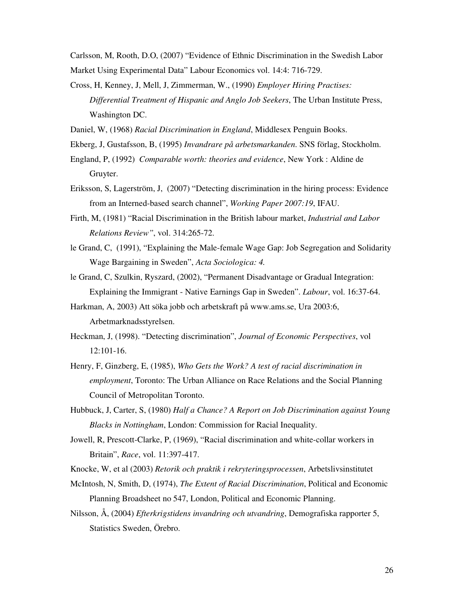Carlsson, M, Rooth, D.O, (2007) "Evidence of Ethnic Discrimination in the Swedish Labor Market Using Experimental Data" Labour Economics vol. 14:4: 716-729.

Cross, H, Kenney, J, Mell, J, Zimmerman, W., (1990) *Employer Hiring Practises: Differential Treatment of Hispanic and Anglo Job Seekers*, The Urban Institute Press, Washington DC.

Daniel, W, (1968) *Racial Discrimination in England*, Middlesex Penguin Books.

- Ekberg, J, Gustafsson, B, (1995) *Invandrare på arbetsmarkanden*. SNS förlag, Stockholm.
- England, P, (1992) *Comparable worth: theories and evidence*, New York : Aldine de Gruyter.
- Eriksson, S, Lagerström, J, (2007) "Detecting discrimination in the hiring process: Evidence from an Interned-based search channel", *Working Paper 2007:19*, IFAU.
- Firth, M, (1981) "Racial Discrimination in the British labour market, *Industrial and Labor Relations Review"*, vol. 314:265-72.
- le Grand, C, (1991), "Explaining the Male-female Wage Gap: Job Segregation and Solidarity Wage Bargaining in Sweden", *Acta Sociologica: 4.*
- le Grand, C, Szulkin, Ryszard, (2002), "Permanent Disadvantage or Gradual Integration: Explaining the Immigrant - Native Earnings Gap in Sweden". *Labour*, vol. 16:37-64.

Harkman, A, 2003) Att söka jobb och arbetskraft på www.ams.se, Ura 2003:6, Arbetmarknadsstyrelsen.

- Heckman, J, (1998). "Detecting discrimination", *Journal of Economic Perspectives*, vol 12:101-16.
- Henry, F, Ginzberg, E, (1985), *Who Gets the Work? A test of racial discrimination in employment*, Toronto: The Urban Alliance on Race Relations and the Social Planning Council of Metropolitan Toronto.
- Hubbuck, J, Carter, S, (1980) *Half a Chance? A Report on Job Discrimination against Young Blacks in Nottingham*, London: Commission for Racial Inequality.
- Jowell, R, Prescott-Clarke, P, (1969), "Racial discrimination and white-collar workers in Britain", *Race*, vol. 11:397-417.

Knocke, W, et al (2003) *Retorik och praktik i rekryteringsprocessen*, Arbetslivsinstitutet

McIntosh, N, Smith, D, (1974), *The Extent of Racial Discrimination*, Political and Economic Planning Broadsheet no 547, London, Political and Economic Planning.

Nilsson, Å, (2004) *Efterkrigstidens invandring och utvandring*, Demografiska rapporter 5, Statistics Sweden, Örebro.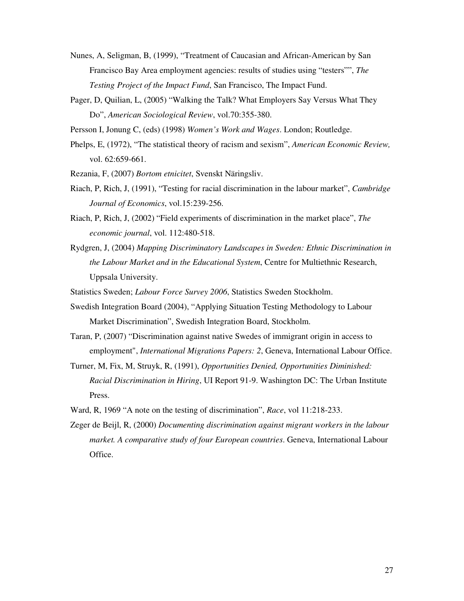- Nunes, A, Seligman, B, (1999), "Treatment of Caucasian and African-American by San Francisco Bay Area employment agencies: results of studies using "testers"", *The Testing Project of the Impact Fund*, San Francisco, The Impact Fund.
- Pager, D, Quilian, L, (2005) "Walking the Talk? What Employers Say Versus What They Do", *American Sociological Review*, vol.70:355-380.
- Persson I, Jonung C, (eds) (1998) *Women's Work and Wages*. London; Routledge.
- Phelps, E, (1972), "The statistical theory of racism and sexism", *American Economic Review,*  vol. 62:659-661.
- Rezania, F, (2007) *Bortom etnicitet*, Svenskt Näringsliv.
- Riach, P, Rich, J, (1991), "Testing for racial discrimination in the labour market", *Cambridge Journal of Economics*, vol.15:239-256.
- Riach, P, Rich, J, (2002) "Field experiments of discrimination in the market place", *The economic journal*, vol. 112:480-518.
- Rydgren, J, (2004) *Mapping Discriminatory Landscapes in Sweden: Ethnic Discrimination in the Labour Market and in the Educational System*, Centre for Multiethnic Research, Uppsala University.

Statistics Sweden; *Labour Force Survey 2006*, Statistics Sweden Stockholm.

- Swedish Integration Board (2004), "Applying Situation Testing Methodology to Labour Market Discrimination", Swedish Integration Board, Stockholm.
- Taran, P, (2007) "Discrimination against native Swedes of immigrant origin in access to employment", *International Migrations Papers: 2*, Geneva, International Labour Office.
- Turner, M, Fix, M, Struyk, R, (1991), *Opportunities Denied, Opportunities Diminished: Racial Discrimination in Hiring*, UI Report 91-9. Washington DC: The Urban Institute Press.
- Ward, R, 1969 "A note on the testing of discrimination", *Race*, vol 11:218-233.
- Zeger de Beijl, R, (2000) *Documenting discrimination against migrant workers in the labour market. A comparative study of four European countries*. Geneva, International Labour Office.